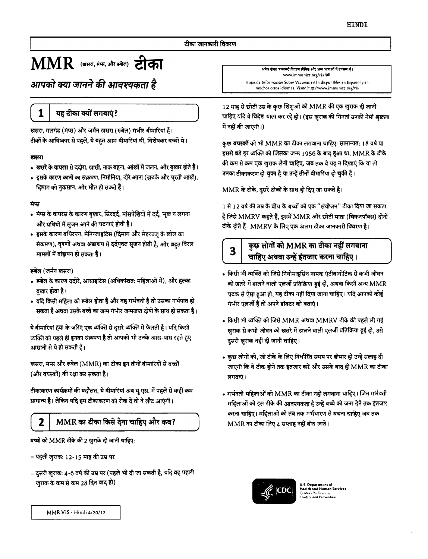## $\mathbf{MMR}$  (जसरा, मंच, और स्वेल) टीका

आपको क्या जानने की आवश्यकता है

यह टीका क्यों लगवाएं?

खसरा, गलगंड (मंप्स) और जर्मन खसरा (रूबेल) गंभीर बीमारियां हैं। टीकों के आविष्कार से पहले, ये बहुत आम बीमारियां थीं, विशेषकर बच्चों में।

#### खसरा

1

- खसरे के वायरस से ददोरा, खांसी, नाक बहना, आंखों में जलन, और बुखार होते हैं।
- इसके कारण कानों का संक्रमण, निमोनिया, दौरे आना (झटके और घुरती आंखें), दिमाग को नुकसान, और मौत हो सकते हैं।

#### मंप्स

- मंप्स के वायरस के कारण बुखार, सिरदर्द, मांसपेशियों में दर्द, भूख न लगना और ग्रंथियों में सुजन आने की घटनाएं होती है।
- इसके कारण बधिरपन, मेनिन्जाइटिस (दिमाग और मेरुरज्जु के खोल का संक्रमण), वृषणों अथवा अंडाशय में दर्दयुक्त सूजन होती है, और बहुत विरल मामलों में बांझपन हो सकता है।

#### रूबेल (जर्मन खसरा)

- रूबेल के कारण ददोरे, आध्राइटिस (अधिकांशत: महिलाओं में), और हल्का बुखार होता है।
- यदि किसी महिला को रूबेल होता है और वह गर्भवती है तो उसका गर्भपात हो सकता है अथवा उसके बच्चे का जन्म गंभीर जन्मजात दोषों के साथ हो सकता है।

ये बीमारियां हवा के जरिए एक व्यक्ति से दुसरे व्यक्ति में फैलती हैं। यदि किसी व्यक्ति को पहले ही इनका संक्रमण है तो आपको भी उनके आस-पास रहते हुए आसानी से ये हो सकती हैं।

खसरा, मंप्स और रूबेल (MMR) का टीका इन तीनों बीमारियों से बच्चों (और वयस्कों) की रक्षा कर सकता है।

टीकाकरण कार्यक्रमों की बदौलत, ये बीमारियां अब यु.एस. में पहले से कहीं कम सामान्य हैं। लेकिन यदि हम टीकाकरण को रोक दें तो वे लौट आएंगी।

### MMR का टीका किसे देना चाहिए और कब?

बच्चों को MMR टीके की 2 खुराकें दी जानी चाहिए:

– पहली खुराक: 12-15 माह की उम्र पर

2

– दूसरी खुराक: 4-6 वर्ष की उम्र पर (पहले भी दी जा सकती है, यदि वह पहली खुराक के कम से कम 28 दिन बाद हो)

.<br>अनेक टीका जानकारी विवरण स्पेनिश और अन्य भाषाओं में उपग्रह। हैं। www.immunizc.org/vis देखें। Hojas de Informacián Sobre Vacunas están disponibles en Español y en muchos otros idiomas. Visite http://www.immunize.org/vis

12 माह से छोटी उम्र के कुछ शिशुओं को MMR की एक खुराक दी जानी चाहिए यदि वे विदेश याला कर रहे हों। (इस खुराक की गिनती उनकी नेमी श्रृंखला में नहीं की जाएगी।)

कुछ वयस्कों को भी MMR का टीका लगवाना चाहिए: सामान्यत: 18 वर्ष या इससे बड़े हर व्यक्ति को जिसका जन्म 1956 के बाद हुआ था, MMR के टीके की कम से कम एक खुराक लेनी चाहिए, जब तक वे यह न दिखाएं कि या तो उनका टीकाकरण हो चुका है या उन्हें तीनों बीमारियां हो चुकी हैं।

MMR के टीके, दूसरे टीकों के साथ ही दिए जा सकते हैं।

1 से 12 वर्ष की उम्र के बीच के बच्चों को एक "संयोजन" टीका दिया जा सकता है जिसे MMRV कहते हैं, इसमें MMR और छोटी माता (चिकनपॉक्स) दोनों टीके होते हैं। MMRV के लिए एक अलग टीका जानकारी विवरण है।

# 3

## कुछ लोगों को MMR का टीका नहीं लगवाना चाहिए अथवा उन्हें इंतजार करना चाहिए।

- किसी भी व्यक्ति को जिसे नियोमाइसिन नामक एंटीबायोटिक से कभी जीवन को खतरे में डालने वाली एलर्जी प्रतिक्रिया हुई हो, अथवा किसी अन्य MMR घटक से ऐसा हुआ हो, यह टीका नहीं दिया जाना चाहिए। यदि आपको कोई गंभीर एलर्जी हैं तो अपने डॉक्टर को बताएं।
- किसी भी व्यक्ति को जिसे MMR अथवा MMRV टीके की पहले ली गई खुराक से कभी जीवन को खतरे में डालने वाली एलर्जी प्रतिक्रिया हुई हो, उसे दुसरी खुराक नहीं दी जानी चाहिए।
- कुछ लोगों को, जो टीके के लिए निर्धारित समय पर बीमार हों उन्हें सलाह दी जाएगी कि वे ठीक होने तक इंतजार करें और उसके बाद ही MMR का टीका लगवाएं।
- गर्भवती महिलाओं को MMR का टीका नही लगवाना चाहिए। जिन गर्भवती महिलाओं को इस टीके की आवश्यकता है उन्हें बच्चे को जन्म देने तक इंतजार करना चाहिए। महिलाओं को तब तक गर्भधारण से बचना चाहिए जब तक MMR का टीका लिए 4 सप्ताह नहीं बीत जाते।



U.S. Department of<br>Høsith and Human Services **Centers for Disease**<br>Control and Preventi

MMR VIS - Hindi 4/20/12